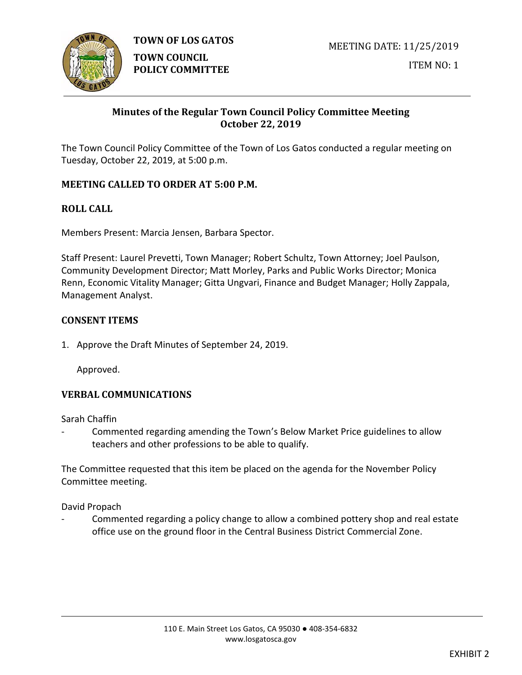

**TOWN OF LOS GATOS** 

ITEM NO: 1

# **Minutes of the Regular Town Council Policy Committee Meeting October 22, 2019**

The Town Council Policy Committee of the Town of Los Gatos conducted a regular meeting on Tuesday, October 22, 2019, at 5:00 p.m.

# **MEETING CALLED TO ORDER AT 5:00 P.M.**

# **ROLL CALL**

Members Present: Marcia Jensen, Barbara Spector.

Staff Present: Laurel Prevetti, Town Manager; Robert Schultz, Town Attorney; Joel Paulson, Community Development Director; Matt Morley, Parks and Public Works Director; Monica Renn, Economic Vitality Manager; Gitta Ungvari, Finance and Budget Manager; Holly Zappala, Management Analyst.

### **CONSENT ITEMS**

1. Approve the Draft Minutes of September 24, 2019.

Approved.

# **VERBAL COMMUNICATIONS**

Sarah Chaffin

Commented regarding amending the Town's Below Market Price guidelines to allow teachers and other professions to be able to qualify.

The Committee requested that this item be placed on the agenda for the November Policy Committee meeting.

David Propach

Commented regarding a policy change to allow a combined pottery shop and real estate office use on the ground floor in the Central Business District Commercial Zone.